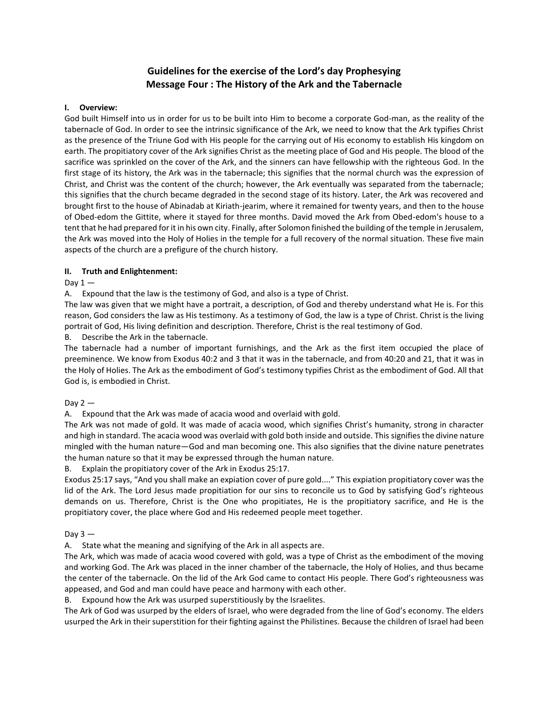# **Guidelines for the exercise of the Lord's day Prophesying Message Four : The History of the Ark and the Tabernacle**

# **I. Overview:**

God built Himself into us in order for us to be built into Him to become a corporate God-man, as the reality of the tabernacle of God. In order to see the intrinsic significance of the Ark, we need to know that the Ark typifies Christ as the presence of the Triune God with His people for the carrying out of His economy to establish His kingdom on earth. The propitiatory cover of the Ark signifies Christ as the meeting place of God and His people. The blood of the sacrifice was sprinkled on the cover of the Ark, and the sinners can have fellowship with the righteous God. In the first stage of its history, the Ark was in the tabernacle; this signifies that the normal church was the expression of Christ, and Christ was the content of the church; however, the Ark eventually was separated from the tabernacle; this signifies that the church became degraded in the second stage of its history. Later, the Ark was recovered and brought first to the house of Abinadab at Kiriath-jearim, where it remained for twenty years, and then to the house of Obed-edom the Gittite, where it stayed for three months. David moved the Ark from Obed-edom's house to a tent that he had prepared for it in his own city. Finally, after Solomon finished the building of the temple in Jerusalem, the Ark was moved into the Holy of Holies in the temple for a full recovery of the normal situation. These five main aspects of the church are a prefigure of the church history.

# **II. Truth and Enlightenment:**

# Day  $1 -$

A. Expound that the law is the testimony of God, and also is a type of Christ.

The law was given that we might have a portrait, a description, of God and thereby understand what He is. For this reason, God considers the law as His testimony. As a testimony of God, the law is a type of Christ. Christ is the living portrait of God, His living definition and description. Therefore, Christ is the real testimony of God.

# B. Describe the Ark in the tabernacle.

The tabernacle had a number of important furnishings, and the Ark as the first item occupied the place of preeminence. We know from Exodus 40:2 and 3 that it was in the tabernacle, and from 40:20 and 21, that it was in the Holy of Holies. The Ark as the embodiment of God's testimony typifies Christ as the embodiment of God. All that God is, is embodied in Christ.

#### Day  $2-$

A. Expound that the Ark was made of acacia wood and overlaid with gold.

The Ark was not made of gold. It was made of acacia wood, which signifies Christ's humanity, strong in character and high in standard. The acacia wood was overlaid with gold both inside and outside. This signifies the divine nature mingled with the human nature—God and man becoming one. This also signifies that the divine nature penetrates the human nature so that it may be expressed through the human nature.

# B. Explain the propitiatory cover of the Ark in Exodus 25:17.

Exodus 25:17 says, "And you shall make an expiation cover of pure gold...." This expiation propitiatory cover was the lid of the Ark. The Lord Jesus made propitiation for our sins to reconcile us to God by satisfying God's righteous demands on us. Therefore, Christ is the One who propitiates, He is the propitiatory sacrifice, and He is the propitiatory cover, the place where God and His redeemed people meet together.

#### Day  $3 -$

A. State what the meaning and signifying of the Ark in all aspects are.

The Ark, which was made of acacia wood covered with gold, was a type of Christ as the embodiment of the moving and working God. The Ark was placed in the inner chamber of the tabernacle, the Holy of Holies, and thus became the center of the tabernacle. On the lid of the Ark God came to contact His people. There God's righteousness was appeased, and God and man could have peace and harmony with each other.

Expound how the Ark was usurped superstitiously by the Israelites.

The Ark of God was usurped by the elders of Israel, who were degraded from the line of God's economy. The elders usurped the Ark in their superstition for their fighting against the Philistines. Because the children of Israel had been